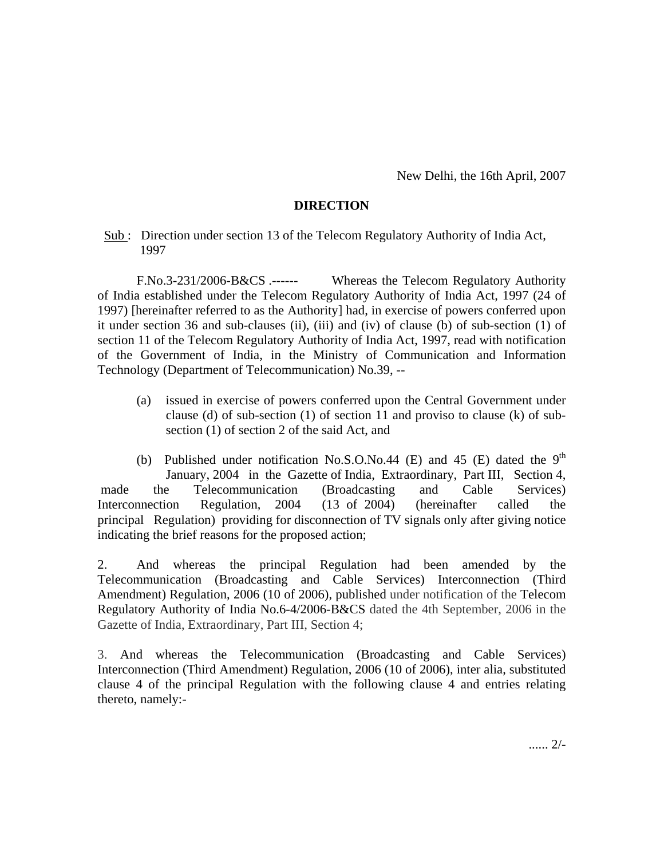New Delhi, the 16th April, 2007

## **DIRECTION**

Sub: Direction under section 13 of the Telecom Regulatory Authority of India Act, 1997

F.No.3-231/2006-B&CS .------ Whereas the Telecom Regulatory Authority of India established under the Telecom Regulatory Authority of India Act, 1997 (24 of 1997) [hereinafter referred to as the Authority] had, in exercise of powers conferred upon it under section 36 and sub-clauses (ii), (iii) and (iv) of clause (b) of sub-section (1) of section 11 of the Telecom Regulatory Authority of India Act, 1997, read with notification of the Government of India, in the Ministry of Communication and Information Technology (Department of Telecommunication) No.39, --

(a) issued in exercise of powers conferred upon the Central Government under clause (d) of sub-section (1) of section 11 and proviso to clause (k) of subsection (1) of section 2 of the said Act, and

(b) Published under notification No.S.O.No.44 (E) and 45 (E) dated the  $9<sup>th</sup>$ January, 2004 in the Gazette of India, Extraordinary, Part III, Section 4, made the Telecommunication (Broadcasting and Cable Services) Interconnection Regulation, 2004 (13 of 2004) (hereinafter called the principal Regulation) providing for disconnection of TV signals only after giving notice indicating the brief reasons for the proposed action;

2. And whereas the principal Regulation had been amended by the Telecommunication (Broadcasting and Cable Services) Interconnection (Third Amendment) Regulation, 2006 (10 of 2006), published under notification of the Telecom Regulatory Authority of India No.6-4/2006-B&CS dated the 4th September, 2006 in the Gazette of India, Extraordinary, Part III, Section 4;

3. And whereas the Telecommunication (Broadcasting and Cable Services) Interconnection (Third Amendment) Regulation, 2006 (10 of 2006), inter alia, substituted clause 4 of the principal Regulation with the following clause 4 and entries relating thereto, namely:-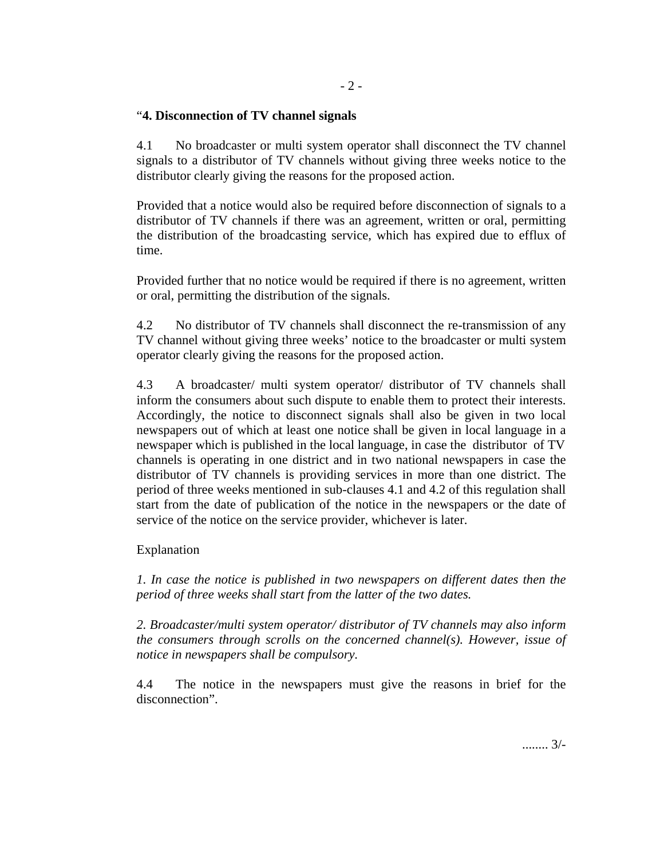## "**4. Disconnection of TV channel signals**

4.1 No broadcaster or multi system operator shall disconnect the TV channel signals to a distributor of TV channels without giving three weeks notice to the distributor clearly giving the reasons for the proposed action.

Provided that a notice would also be required before disconnection of signals to a distributor of TV channels if there was an agreement, written or oral, permitting the distribution of the broadcasting service, which has expired due to efflux of time.

Provided further that no notice would be required if there is no agreement, written or oral, permitting the distribution of the signals.

4.2 No distributor of TV channels shall disconnect the re-transmission of any TV channel without giving three weeks' notice to the broadcaster or multi system operator clearly giving the reasons for the proposed action.

4.3 A broadcaster/ multi system operator/ distributor of TV channels shall inform the consumers about such dispute to enable them to protect their interests. Accordingly, the notice to disconnect signals shall also be given in two local newspapers out of which at least one notice shall be given in local language in a newspaper which is published in the local language, in case the distributor of TV channels is operating in one district and in two national newspapers in case the distributor of TV channels is providing services in more than one district. The period of three weeks mentioned in sub-clauses 4.1 and 4.2 of this regulation shall start from the date of publication of the notice in the newspapers or the date of service of the notice on the service provider, whichever is later.

## Explanation

*1. In case the notice is published in two newspapers on different dates then the period of three weeks shall start from the latter of the two dates.* 

*2. Broadcaster/multi system operator/ distributor of TV channels may also inform the consumers through scrolls on the concerned channel(s). However, issue of notice in newspapers shall be compulsory.* 

4.4 The notice in the newspapers must give the reasons in brief for the disconnection".

........ 3/-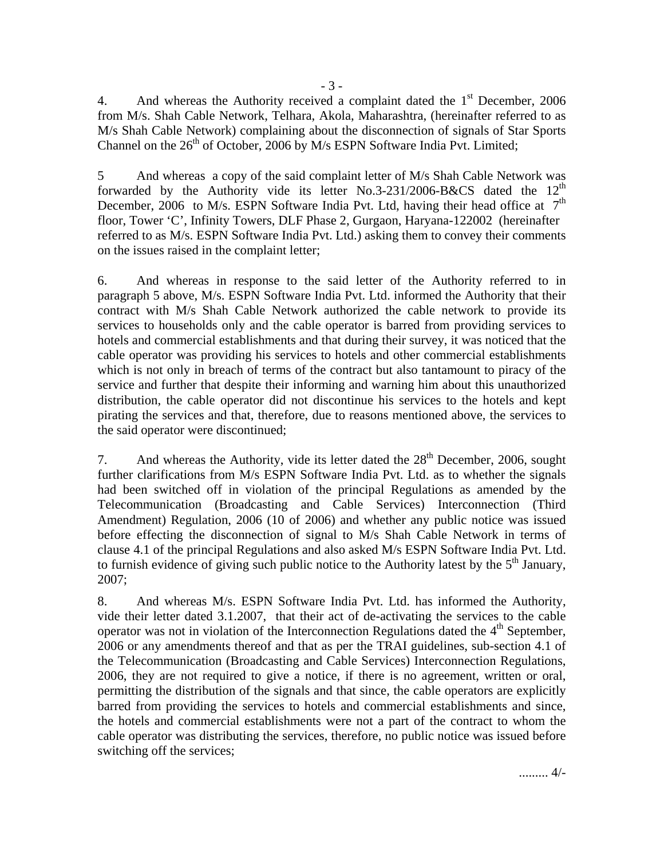4. And whereas the Authority received a complaint dated the  $1<sup>st</sup>$  December, 2006 from M/s. Shah Cable Network, Telhara, Akola, Maharashtra, (hereinafter referred to as M/s Shah Cable Network) complaining about the disconnection of signals of Star Sports Channel on the  $26<sup>th</sup>$  of October, 2006 by M/s ESPN Software India Pvt. Limited;

5 And whereas a copy of the said complaint letter of M/s Shah Cable Network was forwarded by the Authority vide its letter No.3-231/2006-B&CS dated the  $12<sup>th</sup>$ December, 2006 to M/s. ESPN Software India Pvt. Ltd, having their head office at  $7<sup>th</sup>$ floor, Tower 'C', Infinity Towers, DLF Phase 2, Gurgaon, Haryana-122002 (hereinafter referred to as M/s. ESPN Software India Pvt. Ltd.) asking them to convey their comments on the issues raised in the complaint letter;

6. And whereas in response to the said letter of the Authority referred to in paragraph 5 above, M/s. ESPN Software India Pvt. Ltd. informed the Authority that their contract with M/s Shah Cable Network authorized the cable network to provide its services to households only and the cable operator is barred from providing services to hotels and commercial establishments and that during their survey, it was noticed that the cable operator was providing his services to hotels and other commercial establishments which is not only in breach of terms of the contract but also tantamount to piracy of the service and further that despite their informing and warning him about this unauthorized distribution, the cable operator did not discontinue his services to the hotels and kept pirating the services and that, therefore, due to reasons mentioned above, the services to the said operator were discontinued;

7. And whereas the Authority, vide its letter dated the  $28<sup>th</sup>$  December, 2006, sought further clarifications from M/s ESPN Software India Pvt. Ltd. as to whether the signals had been switched off in violation of the principal Regulations as amended by the Telecommunication (Broadcasting and Cable Services) Interconnection (Third Amendment) Regulation, 2006 (10 of 2006) and whether any public notice was issued before effecting the disconnection of signal to M/s Shah Cable Network in terms of clause 4.1 of the principal Regulations and also asked M/s ESPN Software India Pvt. Ltd. to furnish evidence of giving such public notice to the Authority latest by the  $5<sup>th</sup>$  January, 2007;

8. And whereas M/s. ESPN Software India Pvt. Ltd. has informed the Authority, vide their letter dated 3.1.2007, that their act of de-activating the services to the cable operator was not in violation of the Interconnection Regulations dated the  $4<sup>th</sup>$  September, 2006 or any amendments thereof and that as per the TRAI guidelines, sub-section 4.1 of the Telecommunication (Broadcasting and Cable Services) Interconnection Regulations, 2006, they are not required to give a notice, if there is no agreement, written or oral, permitting the distribution of the signals and that since, the cable operators are explicitly barred from providing the services to hotels and commercial establishments and since, the hotels and commercial establishments were not a part of the contract to whom the cable operator was distributing the services, therefore, no public notice was issued before switching off the services;

......... 4/-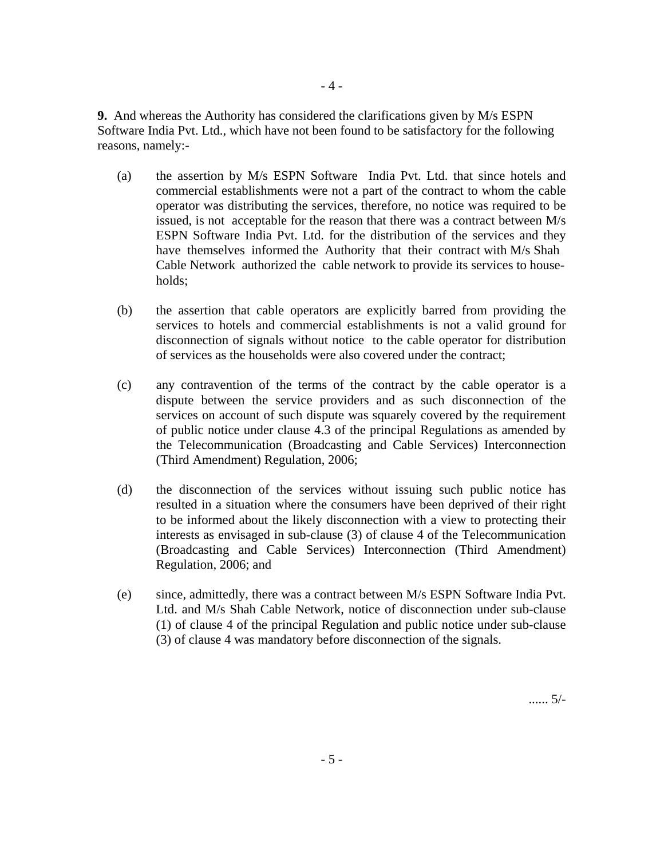**9.** And whereas the Authority has considered the clarifications given by M/s ESPN Software India Pvt. Ltd., which have not been found to be satisfactory for the following reasons, namely:-

- 4 -

- (a) the assertion by M/s ESPN Software India Pvt. Ltd. that since hotels and commercial establishments were not a part of the contract to whom the cable operator was distributing the services, therefore, no notice was required to be issued, is not acceptable for the reason that there was a contract between M/s ESPN Software India Pvt. Ltd. for the distribution of the services and they have themselves informed the Authority that their contract with M/s Shah Cable Network authorized the cable network to provide its services to households;
- (b) the assertion that cable operators are explicitly barred from providing the services to hotels and commercial establishments is not a valid ground for disconnection of signals without notice to the cable operator for distribution of services as the households were also covered under the contract;
- (c) any contravention of the terms of the contract by the cable operator is a dispute between the service providers and as such disconnection of the services on account of such dispute was squarely covered by the requirement of public notice under clause 4.3 of the principal Regulations as amended by the Telecommunication (Broadcasting and Cable Services) Interconnection (Third Amendment) Regulation, 2006;
- (d) the disconnection of the services without issuing such public notice has resulted in a situation where the consumers have been deprived of their right to be informed about the likely disconnection with a view to protecting their interests as envisaged in sub-clause (3) of clause 4 of the Telecommunication (Broadcasting and Cable Services) Interconnection (Third Amendment) Regulation, 2006; and
- (e) since, admittedly, there was a contract between M/s ESPN Software India Pvt. Ltd. and M/s Shah Cable Network, notice of disconnection under sub-clause (1) of clause 4 of the principal Regulation and public notice under sub-clause (3) of clause 4 was mandatory before disconnection of the signals.